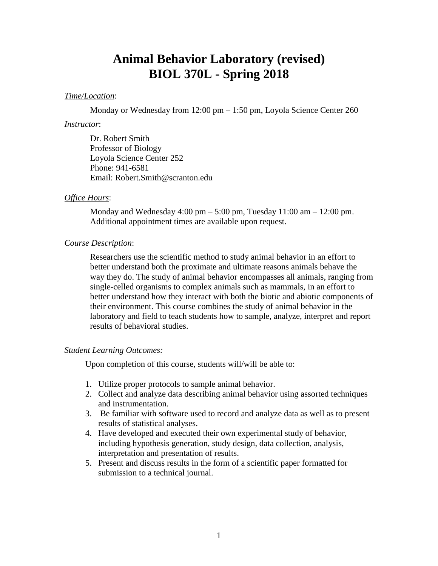# **Animal Behavior Laboratory (revised) BIOL 370L - Spring 2018**

# *Time/Location*:

Monday or Wednesday from 12:00 pm – 1:50 pm, Loyola Science Center 260

#### *Instructor*:

Dr. Robert Smith Professor of Biology Loyola Science Center 252 Phone: 941-6581 Email: Robert.Smith@scranton.edu

#### *Office Hours*:

Monday and Wednesday 4:00 pm  $-$  5:00 pm, Tuesday 11:00 am  $-$  12:00 pm. Additional appointment times are available upon request.

#### *Course Description*:

Researchers use the scientific method to study animal behavior in an effort to better understand both the proximate and ultimate reasons animals behave the way they do. The study of animal behavior encompasses all animals, ranging from single-celled organisms to complex animals such as mammals, in an effort to better understand how they interact with both the biotic and abiotic components of their environment. This course combines the study of animal behavior in the laboratory and field to teach students how to sample, analyze, interpret and report results of behavioral studies.

# *Student Learning Outcomes:*

Upon completion of this course, students will/will be able to:

- 1. Utilize proper protocols to sample animal behavior.
- 2. Collect and analyze data describing animal behavior using assorted techniques and instrumentation.
- 3. Be familiar with software used to record and analyze data as well as to present results of statistical analyses.
- 4. Have developed and executed their own experimental study of behavior, including hypothesis generation, study design, data collection, analysis, interpretation and presentation of results.
- 5. Present and discuss results in the form of a scientific paper formatted for submission to a technical journal.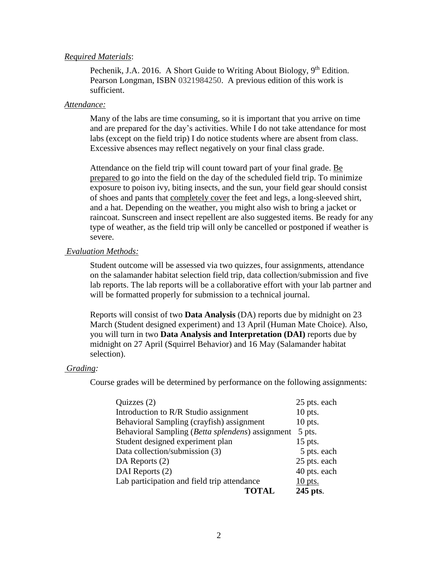# *Required Materials*:

Pechenik, J.A. 2016. A Short Guide to Writing About Biology, 9<sup>th</sup> Edition. Pearson Longman, ISBN 0321984250. A previous edition of this work is sufficient.

### *Attendance:*

Many of the labs are time consuming, so it is important that you arrive on time and are prepared for the day's activities. While I do not take attendance for most labs (except on the field trip) I do notice students where are absent from class. Excessive absences may reflect negatively on your final class grade.

Attendance on the field trip will count toward part of your final grade. Be prepared to go into the field on the day of the scheduled field trip. To minimize exposure to poison ivy, biting insects, and the sun, your field gear should consist of shoes and pants that completely cover the feet and legs, a long-sleeved shirt, and a hat. Depending on the weather, you might also wish to bring a jacket or raincoat. Sunscreen and insect repellent are also suggested items. Be ready for any type of weather, as the field trip will only be cancelled or postponed if weather is severe.

# *Evaluation Methods:*

Student outcome will be assessed via two quizzes, four assignments, attendance on the salamander habitat selection field trip, data collection/submission and five lab reports. The lab reports will be a collaborative effort with your lab partner and will be formatted properly for submission to a technical journal.

Reports will consist of two **Data Analysis** (DA) reports due by midnight on 23 March (Student designed experiment) and 13 April (Human Mate Choice). Also, you will turn in two **Data Analysis and Interpretation (DAI)** reports due by midnight on 27 April (Squirrel Behavior) and 16 May (Salamander habitat selection).

#### *Grading:*

Course grades will be determined by performance on the following assignments:

| Quizzes $(2)$                                    | 25 pts. each |
|--------------------------------------------------|--------------|
| Introduction to R/R Studio assignment            | $10$ pts.    |
| Behavioral Sampling (crayfish) assignment        | $10$ pts.    |
| Behavioral Sampling (Betta splendens) assignment | 5 pts.       |
| Student designed experiment plan                 | $15$ pts.    |
| Data collection/submission (3)                   | 5 pts. each  |
| DA Reports (2)                                   | 25 pts. each |
| DAI Reports (2)                                  | 40 pts. each |
| Lab participation and field trip attendance      | $10$ pts.    |
| TOTAL                                            | 245 pts.     |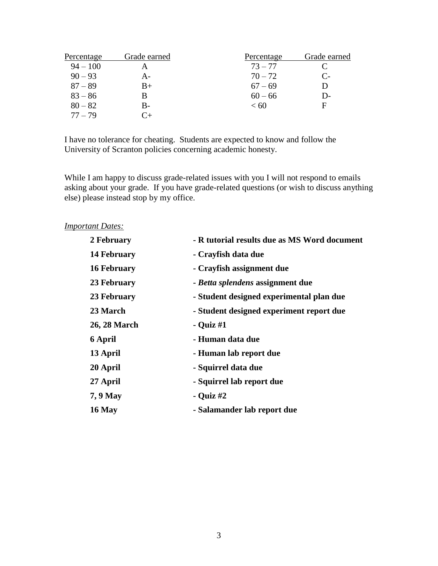| Percentage | Grade earned | Percentage | Grade earned |
|------------|--------------|------------|--------------|
| $94 - 100$ | А            | $73 - 77$  |              |
| $90 - 93$  | А-           | $70 - 72$  | $C_{\tau}$   |
| $87 - 89$  | B+           | $67 - 69$  |              |
| $83 - 86$  |              | $60 - 66$  | D-           |
| $80 - 82$  | B-           | < 60       | E            |
| $77 - 79$  |              |            |              |

I have no tolerance for cheating. Students are expected to know and follow the University of Scranton policies concerning academic honesty.

While I am happy to discuss grade-related issues with you I will not respond to emails asking about your grade. If you have grade-related questions (or wish to discuss anything else) please instead stop by my office.

*Important Dates:*

| 2 February          | - R tutorial results due as MS Word document |
|---------------------|----------------------------------------------|
| 14 February         | - Crayfish data due                          |
| <b>16 February</b>  | - Crayfish assignment due                    |
| 23 February         | - Betta splendens assignment due             |
| 23 February         | - Student designed experimental plan due     |
| 23 March            | - Student designed experiment report due     |
| <b>26, 28 March</b> | - Quiz $#1$                                  |
| 6 April             | - Human data due                             |
| 13 April            | - Human lab report due                       |
| 20 April            | - Squirrel data due                          |
| 27 April            | - Squirrel lab report due                    |
| 7, 9 May            | - Quiz $#2$                                  |
| 16 May              | - Salamander lab report due                  |